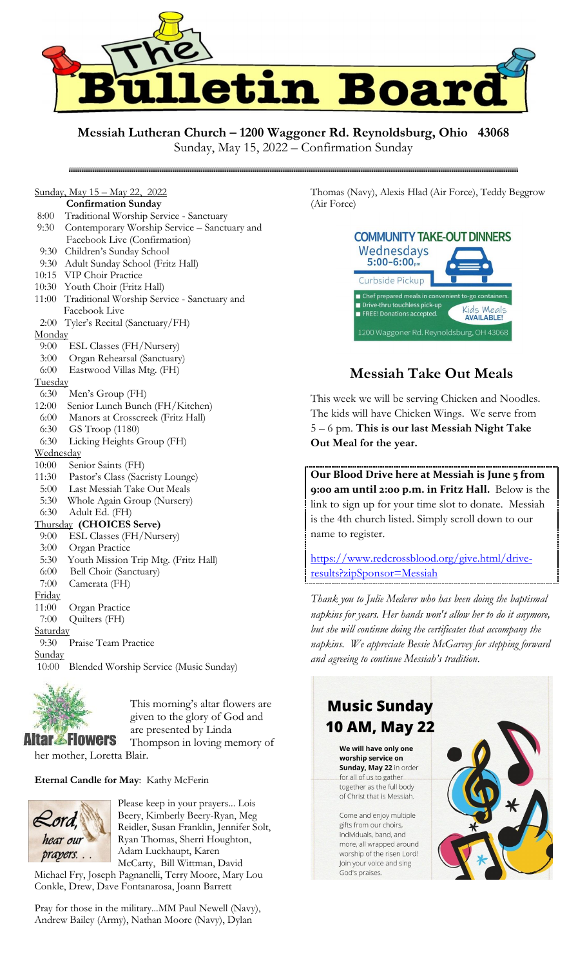

## **Messiah Lutheran Church – 1200 Waggoner Rd. Reynoldsburg, Ohio 43068**

Sunday, May 15, 2022 – Confirmation Sunday

## Sunday, May 15 – May 22, 2022

#### **Confirmation Sunday**

- 8:00 Traditional Worship Service Sanctuary
- 9:30 Contemporary Worship Service Sanctuary and
- Facebook Live (Confirmation)
- 9:30 Children's Sunday School
- 9:30 Adult Sunday School (Fritz Hall)
- 10:15 VIP Choir Practice
- 10:30 Youth Choir (Fritz Hall)
- 11:00 Traditional Worship Service Sanctuary and Facebook Live
- 2:00 Tyler's Recital (Sanctuary/FH) **Monday**
- 9:00 ESL Classes (FH/Nursery)
- 3:00 Organ Rehearsal (Sanctuary)
- 6:00 Eastwood Villas Mtg. (FH)
- **Tuesday**

#### 6:30 Men's Group (FH)

- 12:00 Senior Lunch Bunch (FH/Kitchen)
- 6:00 Manors at Crosscreek (Fritz Hall)
- 6:30 GS Troop (1180)
- 6:30 Licking Heights Group (FH)

#### **Wednesday**

- 10:00 Senior Saints (FH)
- 11:30 Pastor's Class (Sacristy Lounge)
- 5:00 Last Messiah Take Out Meals
- 5:30 Whole Again Group (Nursery)
- 6:30 Adult Ed. (FH)

#### Thursday **(CHOICES Serve)**

- 9:00 ESL Classes (FH/Nursery)
- 3:00 Organ Practice
- 5:30 Youth Mission Trip Mtg. (Fritz Hall)
- 6:00 Bell Choir (Sanctuary)

#### 7:00 Camerata (FH)

- Friday
- 11:00 Organ Practice 7:00 Quilters (FH)

#### Saturday

9:30 Praise Team Practice

**Sunday** 

10:00 Blended Worship Service (Music Sunday)



This morning's altar flowers are given to the glory of God and are presented by Linda Thompson in loving memory of

her mother, Loretta Blair.

#### **Eternal Candle for May**: Kathy McFerin



Please keep in your prayers... Lois Beery, Kimberly Beery-Ryan, Meg Reidler, Susan Franklin, Jennifer Solt, Ryan Thomas, Sherri Houghton, Adam Luckhaupt, Karen McCarty, Bill Wittman, David

Michael Fry, Joseph Pagnanelli, Terry Moore, Mary Lou Conkle, Drew, Dave Fontanarosa, Joann Barrett

Pray for those in the military...MM Paul Newell (Navy), Andrew Bailey (Army), Nathan Moore (Navy), Dylan

Thomas (Navy), Alexis Hlad (Air Force), Teddy Beggrow (Air Force)

| <b>COMMUNITY TAKE-OUT DINNERS</b><br>Wednesdays<br>5:00-6:00,m                                                                                        |  |
|-------------------------------------------------------------------------------------------------------------------------------------------------------|--|
| Curbside Pickup                                                                                                                                       |  |
| ■ Chef prepared meals in convenient to-go containers.<br>Drive-thru touchless pick-up<br>Kids Meals<br>FREE! Donations accepted.<br><b>AVAILABLE!</b> |  |
| 1200 Waggoner Rd. Reynoldsburg, OH 43068                                                                                                              |  |

## **Messiah Take Out Meals**

This week we will be serving Chicken and Noodles. The kids will have Chicken Wings. We serve from 5 – 6 pm. **This is our last Messiah Night Take Out Meal for the year.**

**Our Blood Drive here at Messiah is June 5 from 9:00 am until 2:00 p.m. in Fritz Hall.** Below is the link to sign up for your time slot to donate. Messiah is the 4th church listed. Simply scroll down to our name to register.

[https://www.redcrossblood.org/give.html/drive](https://www.redcrossblood.org/give.html/drive-results?zipSponsor=Messiah)[results?zipSponsor=Messiah](https://www.redcrossblood.org/give.html/drive-results?zipSponsor=Messiah)

*Thank you to Julie Mederer who has been doing the baptismal napkins for years. Her hands won't allow her to do it anymore, but she will continue doing the certificates that accompany the napkins. We appreciate Bessie McGarvey for stepping forward and agreeing to continue Messiah's tradition.* 

## **Music Sunday** 10 AM, May 22

We will have only one worship service on Sunday, May 22 in order for all of us to gather together as the full body of Christ that is Messiah

Come and enjoy multiple gifts from our choirs, individuals, band, and more, all wrapped around worship of the risen Lord! Join your voice and sing God's praises.